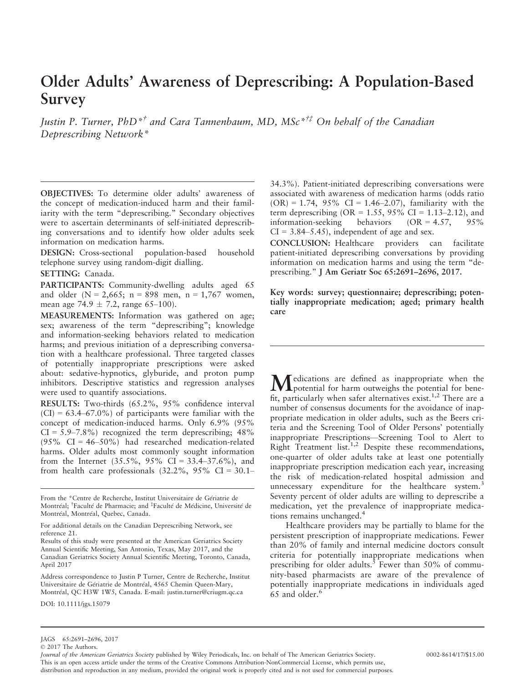# Older Adults' Awareness of Deprescribing: A Population-Based Survey

Justin P. Turner, PhD<sup>\*†</sup> and Cara Tannenbaum, MD, MSc<sup>\*††</sup> On behalf of the Canadian Deprescribing Network\*

OBJECTIVES: To determine older adults' awareness of the concept of medication-induced harm and their familiarity with the term "deprescribing." Secondary objectives were to ascertain determinants of self-initiated deprescribing conversations and to identify how older adults seek information on medication harms.

DESIGN: Cross-sectional population-based household telephone survey using random-digit dialling.

SETTING: Canada.

PARTICIPANTS: Community-dwelling adults aged 65 and older  $(N = 2,665; n = 898$  men,  $n = 1,767$  women, mean age 74.9  $\pm$  7.2, range 65–100).

MEASUREMENTS: Information was gathered on age; sex; awareness of the term "deprescribing"; knowledge and information-seeking behaviors related to medication harms; and previous initiation of a deprescribing conversation with a healthcare professional. Three targeted classes of potentially inappropriate prescriptions were asked about: sedative-hypnotics, glyburide, and proton pump inhibitors. Descriptive statistics and regression analyses were used to quantify associations.

RESULTS: Two-thirds (65.2%, 95% confidence interval  $(CI) = 63.4{\text -}67.0\%$  of participants were familiar with the concept of medication-induced harms. Only 6.9% (95%  $CI = 5.9 - 7.8\%$  recognized the term deprescribing; 48%  $(95\% \text{ CI} = 46-50\%)$  had researched medication-related harms. Older adults most commonly sought information from the Internet  $(35.5\%, 95\% \text{ CI} = 33.4-37.6\%),$  and from health care professionals  $(32.2\%, 95\% \text{ CI} = 30.1-$ 

From the \*Centre de Recherche, Institut Universitaire de Geriatrie de Montréal; <sup>†</sup>Faculté de Pharmacie; and <sup>‡</sup>Faculté de Médicine, Université de Montréal, Montréal, Quebec, Canada.

For additional details on the Canadian Deprescribing Network, see reference 21.

Results of this study were presented at the American Geriatrics Society Annual Scientific Meeting, San Antonio, Texas, May 2017, and the Canadian Geriatrics Society Annual Scientific Meeting, Toronto, Canada, April 2017

Address correspondence to Justin P Turner, Centre de Recherche, Institut Universitaire de Geriatrie de Montreal, 4565 Chemin Queen-Mary, Montreal, QC H3W 1W5, Canada. E-mail: justin.turner@criugm.qc.ca

DOI: 10.1111/jgs.15079

34.3%). Patient-initiated deprescribing conversations were associated with awareness of medication harms (odds ratio  $(OR) = 1.74$ , 95% CI = 1.46–2.07), familiarity with the term deprescribing (OR =  $1.55$ , 95% CI =  $1.13-2.12$ ), and information-seeking behaviors  $(OR = 4.57, 95\%)$  $CI = 3.84 - 5.45$ , independent of age and sex.

CONCLUSION: Healthcare providers can facilitate patient-initiated deprescribing conversations by providing information on medication harms and using the term "deprescribing." J Am Geriatr Soc 65:2691–2696, 2017.

Key words: survey; questionnaire; deprescribing; potentially inappropriate medication; aged; primary health care

 $M$ edications are defined as inappropriate when the potential for benefit, particularly when safer alternatives exist.<sup>1,2</sup> There are a number of consensus documents for the avoidance of inappropriate medication in older adults, such as the Beers criteria and the Screening Tool of Older Persons' potentially inappropriate Prescriptions—Screening Tool to Alert to Right Treatment list.<sup>1,2</sup> Despite these recommendations, one-quarter of older adults take at least one potentially inappropriate prescription medication each year, increasing the risk of medication-related hospital admission and unnecessary expenditure for the healthcare system.<sup>3</sup> Seventy percent of older adults are willing to deprescribe a medication, yet the prevalence of inappropriate medications remains unchanged.<sup>4</sup>

Healthcare providers may be partially to blame for the persistent prescription of inappropriate medications. Fewer than 20% of family and internal medicine doctors consult criteria for potentially inappropriate medications when prescribing for older adults.<sup>5</sup> Fewer than 50% of community-based pharmacists are aware of the prevalence of potentially inappropriate medications in individuals aged 65 and older.<sup>6</sup>

© 2017 The Authors.

Journal of the American Geriatrics Society published by Wiley Periodicals, Inc. on behalf of The American Geriatrics Society. 0002-8614/17/\$15.00 This is an open access article under the terms of the [Creative Commons Attribution-NonCommercial](http://creativecommons.org/licenses/by-nc/4.0/) License, which permits use, distribution and reproduction in any medium, provided the original work is properly cited and is not used for commercial purposes.

JAGS 65:2691–2696, 2017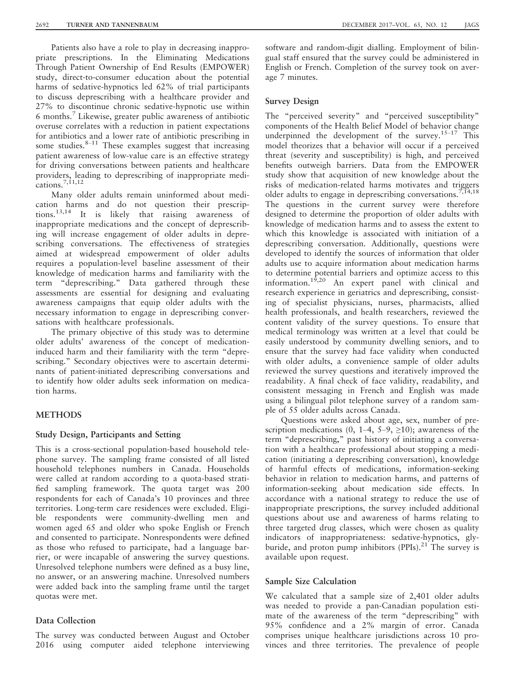Patients also have a role to play in decreasing inappropriate prescriptions. In the Eliminating Medications Through Patient Ownership of End Results (EMPOWER) study, direct-to-consumer education about the potential harms of sedative-hypnotics led 62% of trial participants to discuss deprescribing with a healthcare provider and 27% to discontinue chronic sedative-hypnotic use within 6 months.<sup>7</sup> Likewise, greater public awareness of antibiotic overuse correlates with a reduction in patient expectations for antibiotics and a lower rate of antibiotic prescribing in some studies. $8-11$  These examples suggest that increasing patient awareness of low-value care is an effective strategy for driving conversations between patients and healthcare providers, leading to deprescribing of inappropriate medications.<sup>7,11,12</sup>

Many older adults remain uninformed about medication harms and do not question their prescriptions.13,14 It is likely that raising awareness of inappropriate medications and the concept of deprescribing will increase engagement of older adults in deprescribing conversations. The effectiveness of strategies aimed at widespread empowerment of older adults requires a population-level baseline assessment of their knowledge of medication harms and familiarity with the term "deprescribing." Data gathered through these assessments are essential for designing and evaluating awareness campaigns that equip older adults with the necessary information to engage in deprescribing conversations with healthcare professionals.

The primary objective of this study was to determine older adults' awareness of the concept of medicationinduced harm and their familiarity with the term "deprescribing." Secondary objectives were to ascertain determinants of patient-initiated deprescribing conversations and to identify how older adults seek information on medication harms.

### METHODS

#### Study Design, Participants and Setting

This is a cross-sectional population-based household telephone survey. The sampling frame consisted of all listed household telephones numbers in Canada. Households were called at random according to a quota-based stratified sampling framework. The quota target was 200 respondents for each of Canada's 10 provinces and three territories. Long-term care residences were excluded. Eligible respondents were community-dwelling men and women aged 65 and older who spoke English or French and consented to participate. Nonrespondents were defined as those who refused to participate, had a language barrier, or were incapable of answering the survey questions. Unresolved telephone numbers were defined as a busy line, no answer, or an answering machine. Unresolved numbers were added back into the sampling frame until the target quotas were met.

### Data Collection

The survey was conducted between August and October 2016 using computer aided telephone interviewing

software and random-digit dialling. Employment of bilingual staff ensured that the survey could be administered in English or French. Completion of the survey took on average 7 minutes.

## Survey Design

The "perceived severity" and "perceived susceptibility" components of the Health Belief Model of behavior change underpinned the development of the survey.<sup>15-17</sup> This model theorizes that a behavior will occur if a perceived threat (severity and susceptibility) is high, and perceived benefits outweigh barriers. Data from the EMPOWER study show that acquisition of new knowledge about the risks of medication-related harms motivates and triggers older adults to engage in deprescribing conversations.<sup>7,14,18</sup> The questions in the current survey were therefore designed to determine the proportion of older adults with knowledge of medication harms and to assess the extent to which this knowledge is associated with initiation of a deprescribing conversation. Additionally, questions were developed to identify the sources of information that older adults use to acquire information about medication harms to determine potential barriers and optimize access to this information.<sup>19,20</sup> An expert panel with clinical and research experience in geriatrics and deprescribing, consisting of specialist physicians, nurses, pharmacists, allied health professionals, and health researchers, reviewed the content validity of the survey questions. To ensure that medical terminology was written at a level that could be easily understood by community dwelling seniors, and to ensure that the survey had face validity when conducted with older adults, a convenience sample of older adults reviewed the survey questions and iteratively improved the readability. A final check of face validity, readability, and consistent messaging in French and English was made using a bilingual pilot telephone survey of a random sample of 55 older adults across Canada.

Questions were asked about age, sex, number of prescription medications (0, 1–4, 5–9,  $\geq$ 10); awareness of the term "deprescribing," past history of initiating a conversation with a healthcare professional about stopping a medication (initiating a deprescribing conversation), knowledge of harmful effects of medications, information-seeking behavior in relation to medication harms, and patterns of information-seeking about medication side effects. In accordance with a national strategy to reduce the use of inappropriate prescriptions, the survey included additional questions about use and awareness of harms relating to three targeted drug classes, which were chosen as quality indicators of inappropriateness: sedative-hypnotics, glyburide, and proton pump inhibitors  $(PPIs).^{21}$  The survey is available upon request.

#### Sample Size Calculation

We calculated that a sample size of 2,401 older adults was needed to provide a pan-Canadian population estimate of the awareness of the term "deprescribing" with 95% confidence and a 2% margin of error. Canada comprises unique healthcare jurisdictions across 10 provinces and three territories. The prevalence of people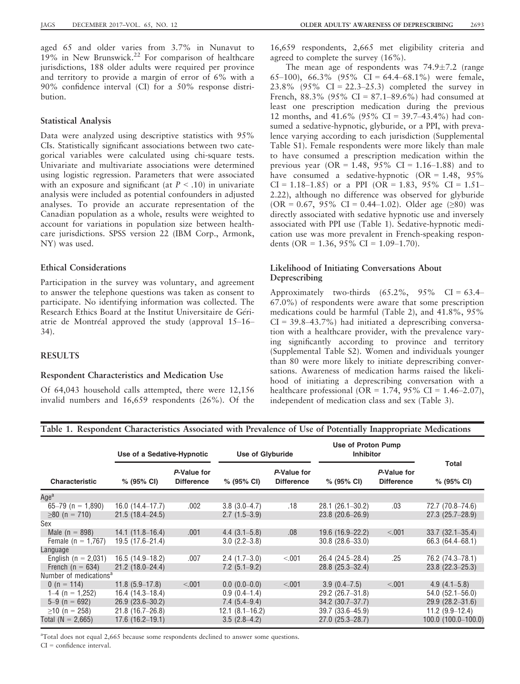JAGS DECEMBER 2017–VOL. 65, NO. 12 OLDER ADULTS' AWARENESS OF DEPRESCRIBING 2693

aged 65 and older varies from 3.7% in Nunavut to  $19\%$  in New Brunswick.<sup>22</sup> For comparison of healthcare jurisdictions, 188 older adults were required per province and territory to provide a margin of error of 6% with a 90% confidence interval (CI) for a 50% response distribution.

## Statistical Analysis

Data were analyzed using descriptive statistics with 95% CIs. Statistically significant associations between two categorical variables were calculated using chi-square tests. Univariate and multivariate associations were determined using logistic regression. Parameters that were associated with an exposure and significant (at  $P < .10$ ) in univariate analysis were included as potential confounders in adjusted analyses. To provide an accurate representation of the Canadian population as a whole, results were weighted to account for variations in population size between healthcare jurisdictions. SPSS version 22 (IBM Corp., Armonk, NY) was used.

## Ethical Considerations

Participation in the survey was voluntary, and agreement to answer the telephone questions was taken as consent to participate. No identifying information was collected. The Research Ethics Board at the Institut Universitaire de Geriatrie de Montreal approved the study (approval 15–16– 34).

## RESULTS

#### Respondent Characteristics and Medication Use

Of 64,043 household calls attempted, there were 12,156 invalid numbers and 16,659 respondents (26%). Of the 16,659 respondents, 2,665 met eligibility criteria and agreed to complete the survey (16%).

The mean age of respondents was  $74.9 \pm 7.2$  (range 65–100), 66.3% (95% CI = 64.4–68.1%) were female, 23.8% (95% CI = 22.3–25.3) completed the survey in French,  $88.3\%$  (95% CI =  $87.1-89.6\%$ ) had consumed at least one prescription medication during the previous 12 months, and  $41.6\%$  (95% CI = 39.7–43.4%) had consumed a sedative-hypnotic, glyburide, or a PPI, with prevalence varying according to each jurisdiction (Supplemental Table S1). Female respondents were more likely than male to have consumed a prescription medication within the previous year (OR = 1.48,  $95\%$  CI = 1.16–1.88) and to have consumed a sedative-hypnotic  $(OR = 1.48, 95\%)$  $CI = 1.18 - 1.85$  or a PPI (OR = 1.83, 95% CI = 1.51– 2.22), although no difference was observed for glyburide (OR = 0.67, 95% CI = 0.44–1.02). Older age  $(≥80)$  was directly associated with sedative hypnotic use and inversely associated with PPI use (Table 1). Sedative-hypnotic medication use was more prevalent in French-speaking respondents (OR =  $1.36$ ,  $95\%$  CI =  $1.09-1.70$ ).

## Likelihood of Initiating Conversations About Deprescribing

Approximately two-thirds  $(65.2\%, 95\% \text{ CI} = 63.4-$ 67.0%) of respondents were aware that some prescription medications could be harmful (Table 2), and 41.8%, 95%  $CI = 39.8-43.7\%)$  had initiated a deprescribing conversation with a healthcare provider, with the prevalence varying significantly according to province and territory (Supplemental Table S2). Women and individuals younger than 80 were more likely to initiate deprescribing conversations. Awareness of medication harms raised the likelihood of initiating a deprescribing conversation with a healthcare professional (OR = 1.74, 95% CI = 1.46–2.07), independent of medication class and sex (Table 3).

## Table 1. Respondent Characteristics Associated with Prevalence of Use of Potentially Inappropriate Medications

|                                    | Use of a Sedative-Hypnotic |                                  | <b>Use of Glyburide</b> |                                  | Use of Proton Pump<br><b>Inhibitor</b> |                                  |                        |  |
|------------------------------------|----------------------------|----------------------------------|-------------------------|----------------------------------|----------------------------------------|----------------------------------|------------------------|--|
| <b>Characteristic</b>              | $% (95\% CI)$              | P-Value for<br><b>Difference</b> | $% (95\% \text{ Cl})$   | P-Value for<br><b>Difference</b> | $% (95\% \text{ Cl})$                  | P-Value for<br><b>Difference</b> | Total<br>$% (95\% CI)$ |  |
| Age <sup>a</sup>                   |                            |                                  |                         |                                  |                                        |                                  |                        |  |
| 65-79 (n = 1,890)                  | $16.0(14.4-17.7)$          | .002                             | $3.8(3.0-4.7)$          | .18                              | $28.1(26.1 - 30.2)$                    | .03                              | 72.7 (70.8-74.6)       |  |
| $\geq 80$ (n = 710)                | $21.5(18.4 - 24.5)$        |                                  | $2.7(1.5-3.9)$          |                                  | $23.8(20.6 - 26.9)$                    |                                  | $27.3(25.7-28.9)$      |  |
| Sex                                |                            |                                  |                         |                                  |                                        |                                  |                        |  |
| Male ( $n = 898$ )                 | $14.1(11.8-16.4)$          | .001                             | $4.4(3.1 - 5.8)$        | .08                              | $19.6(16.9-22.2)$                      | < 001                            | $33.7(32.1 - 35.4)$    |  |
| Female ( $n = 1,767$ )             | $19.5(17.6-21.4)$          |                                  | $3.0(2.2-3.8)$          |                                  | $30.8(28.6 - 33.0)$                    |                                  | 66.3 (64.4–68.1)       |  |
| Language                           |                            |                                  |                         |                                  |                                        |                                  |                        |  |
| English ( $n = 2,031$ )            | $16.5(14.9-18.2)$          | .007                             | $2.4(1.7-3.0)$          | < 001                            | 26.4 (24.5-28.4)                       | .25                              | 76.2 (74.3-78.1)       |  |
| French ( $n = 634$ )               | $21.2(18.0 - 24.4)$        |                                  | $7.2(5.1-9.2)$          |                                  | $28.8(25.3 - 32.4)$                    |                                  | $23.8(22.3 - 25.3)$    |  |
| Number of medications <sup>a</sup> |                            |                                  |                         |                                  |                                        |                                  |                        |  |
| 0 (n = 114)                        | $11.8(5.9-17.8)$           | < 0.01                           | $0.0(0.0-0.0)$          | < 001                            | $3.9(0.4 - 7.5)$                       | < 0.01                           | $4.9(4.1 - 5.8)$       |  |
| $1-4$ (n = 1,252)                  | 16.4 (14.3–18.4)           |                                  | $0.9(0.4-1.4)$          |                                  | $29.2(26.7-31.8)$                      |                                  | $54.0(52.1 - 56.0)$    |  |
| $5-9$ (n = 692)                    | $26.9(23.6 - 30.2)$        |                                  | $7.4(5.4-9.4)$          |                                  | $34.2 (30.7 - 37.7)$                   |                                  | $29.9(28.2 - 31.6)$    |  |
| $\geq$ 10 (n = 258)                | $21.8(16.7-26.8)$          |                                  | $12.1 (8.1 - 16.2)$     |                                  | 39.7 (33.6-45.9)                       |                                  | $11.2$ (9.9-12.4)      |  |
| Total $(N = 2,665)$                | $17.6(16.2-19.1)$          |                                  | $3.5(2.8-4.2)$          |                                  | $27.0(25.3-28.7)$                      |                                  | 100.0 (100.0-100.0)    |  |

<sup>a</sup>Total does not equal 2,665 because some respondents declined to answer some questions.

CI = confidence interval.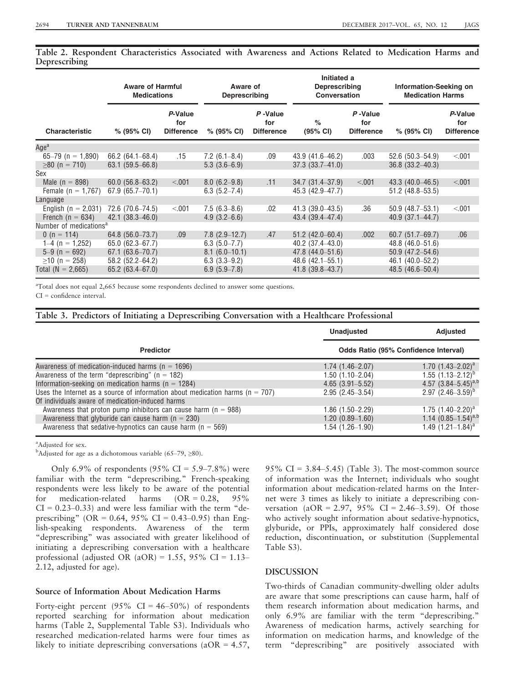Table 2. Respondent Characteristics Associated with Awareness and Actions Related to Medication Harms and Deprescribing

|                                    | <b>Aware of Harmful</b><br><b>Medications</b> |                                     | Aware of<br>Deprescribing |                                     | Initiated a<br>Deprescribing<br><b>Conversation</b> |                                     | Information-Seeking on<br><b>Medication Harms</b> |                                     |
|------------------------------------|-----------------------------------------------|-------------------------------------|---------------------------|-------------------------------------|-----------------------------------------------------|-------------------------------------|---------------------------------------------------|-------------------------------------|
| <b>Characteristic</b>              | $% (95\% CI)$                                 | P-Value<br>for<br><b>Difference</b> | $% (95\% CI)$             | P-Value<br>for<br><b>Difference</b> | $\%$<br>(95% CI)                                    | P-Value<br>for<br><b>Difference</b> | $% (95\% CI)$                                     | P-Value<br>for<br><b>Difference</b> |
| Age <sup>a</sup>                   |                                               |                                     |                           |                                     |                                                     |                                     |                                                   |                                     |
| 65-79 (n = 1,890)                  | $66.2(64.1 - 68.4)$                           | .15                                 | $7.2(6.1 - 8.4)$          | .09                                 | 43.9 (41.6–46.2)                                    | .003                                | $52.6(50.3 - 54.9)$                               | < 001                               |
| $\geq 80$ (n = 710)                | $63.1(59.5 - 66.8)$                           |                                     | $5.3(3.6-6.9)$            |                                     | $37.3(33.7 - 41.0)$                                 |                                     | $36.8(33.2 - 40.3)$                               |                                     |
| Sex                                |                                               |                                     |                           |                                     |                                                     |                                     |                                                   |                                     |
| Male $(n = 898)$                   | $60.0(56.8 - 63.2)$                           | < 0.01                              | $8.0(6.2 - 9.8)$          | .11                                 | $34.7(31.4 - 37.9)$                                 | < 0.01                              | $43.3(40.0 - 46.5)$                               | < 0.01                              |
| Female ( $n = 1,767$ )             | $67.9(65.7-70.1)$                             |                                     | $6.3(5.2 - 7.4)$          |                                     | 45.3 (42.9–47.7)                                    |                                     | $51.2$ (48.8-53.5)                                |                                     |
| Language                           |                                               |                                     |                           |                                     |                                                     |                                     |                                                   |                                     |
| English ( $n = 2,031$ )            | 72.6 (70.6–74.5)                              | < 001                               | $7.5(6.3-8.6)$            | .02                                 | $41.3(39.0 - 43.5)$                                 | .36                                 | $50.9(48.7 - 53.1)$                               | < 001                               |
| French ( $n = 634$ )               | $42.1(38.3 - 46.0)$                           |                                     | $4.9(3.2 - 6.6)$          |                                     | $43.4(39.4 - 47.4)$                                 |                                     | $40.9(37.1 - 44.7)$                               |                                     |
| Number of medications <sup>a</sup> |                                               |                                     |                           |                                     |                                                     |                                     |                                                   |                                     |
| 0 (n = 114)                        | $64.8$ (56.0-73.7)                            | .09                                 | $7.8$ $(2.9-12.7)$        | .47                                 | $51.2(42.0 - 60.4)$                                 | .002                                | $60.7(51.7 - 69.7)$                               | .06                                 |
| $1-4$ (n = 1,252)                  | $65.0(62.3 - 67.7)$                           |                                     | $6.3(5.0 - 7.7)$          |                                     | $40.2(37.4 - 43.0)$                                 |                                     | $48.8(46.0 - 51.6)$                               |                                     |
| $5-9$ (n = 692)                    | $67.1(63.6 - 70.7)$                           |                                     | $8.1(6.0-10.1)$           |                                     | 47.8 (44.0-51.6)                                    |                                     | $50.9(47.2 - 54.6)$                               |                                     |
| $\geq$ 10 (n = 258)                | 58.2 (52.2-64.2)                              |                                     | $6.3(3.3-9.2)$            |                                     | $48.6(42.1 - 55.1)$                                 |                                     | 46.1 (40.0–52.2)                                  |                                     |
| Total ( $N = 2,665$ )              | $65.2(63.4 - 67.0)$                           |                                     | $6.9(5.9 - 7.8)$          |                                     | $41.8$ (39.8-43.7)                                  |                                     | 48.5 (46.6-50.4)                                  |                                     |

<sup>a</sup>Total does not equal 2,665 because some respondents declined to answer some questions.

CI = confidence interval.

Table 3. Predictors of Initiating a Deprescribing Conversation with a Healthcare Professional

|                                                                                   | <b>Unadjusted</b>                    | Adjusted                   |  |  |
|-----------------------------------------------------------------------------------|--------------------------------------|----------------------------|--|--|
| <b>Predictor</b>                                                                  | Odds Ratio (95% Confidence Interval) |                            |  |  |
| Awareness of medication-induced harms ( $n = 1696$ )                              | $1.74(1.46-2.07)$                    | 1.70 $(1.43 - 2.02)^a$     |  |  |
| Awareness of the term "deprescribing" ( $n = 182$ )                               | 1.50 (1.10-2.04)                     | $1.55$ $(1.13-2.12)^{b}$   |  |  |
| Information-seeking on medication harms ( $n = 1284$ )                            | $4.65(3.91 - 5.52)$                  | 4.57 $(3.84 - 5.45)^{a,b}$ |  |  |
| Uses the Internet as a source of information about medication harms ( $n = 707$ ) | $2.95(2.45 - 3.54)$                  | 2.97 $(2.46 - 3.59)^{D}$   |  |  |
| Of individuals aware of medication-induced harms                                  |                                      |                            |  |  |
| Awareness that proton pump inhibitors can cause harm ( $n = 988$ )                | 1.86 (1.50–2.29)                     | 1.75 $(1.40 - 2.20)^a$     |  |  |
| Awareness that glyburide can cause harm ( $n = 230$ )                             | $1.20(0.89 - 1.60)$                  | 1.14 $(0.85-1.54)^{a,b}$   |  |  |
| Awareness that sedative-hypnotics can cause harm ( $n = 569$ )                    | 1.54 (1.26–1.90)                     | 1.49 $(1.21 - 1.84)^a$     |  |  |

<sup>a</sup>Adjusted for sex.

<sup>b</sup>Adjusted for age as a dichotomous variable (65–79,  $\geq$ 80).

Only 6.9% of respondents (95% CI =  $5.9-7.8$ %) were familiar with the term "deprescribing." French-speaking respondents were less likely to be aware of the potential<br>for medication-related harms  $(OR = 0.28, 95\%)$ for medication-related harms  $(OR = 0.28, 95\%)$  $CI = 0.23-0.33$ ) and were less familiar with the term "deprescribing" (OR =  $0.64$ ,  $95\%$  CI =  $0.43-0.95$ ) than English-speaking respondents. Awareness of the term "deprescribing" was associated with greater likelihood of initiating a deprescribing conversation with a healthcare professional (adjusted OR (aOR) = 1.55, 95% CI =  $1.13-$ 2.12, adjusted for age).

## Source of Information About Medication Harms

Forty-eight percent  $(95\% \text{ CI} = 46-50\%)$  of respondents reported searching for information about medication harms (Table 2, Supplemental Table S3). Individuals who researched medication-related harms were four times as likely to initiate deprescribing conversations ( $aOR = 4.57$ ,

95% CI =  $3.84-5.45$ ) (Table 3). The most-common source of information was the Internet; individuals who sought information about medication-related harms on the Internet were 3 times as likely to initiate a deprescribing conversation (aOR = 2.97, 95% CI = 2.46-3.59). Of those who actively sought information about sedative-hypnotics, glyburide, or PPIs, approximately half considered dose reduction, discontinuation, or substitution (Supplemental Table S3).

#### DISCUSSION

Two-thirds of Canadian community-dwelling older adults are aware that some prescriptions can cause harm, half of them research information about medication harms, and only 6.9% are familiar with the term "deprescribing." Awareness of medication harms, actively searching for information on medication harms, and knowledge of the term "deprescribing" are positively associated with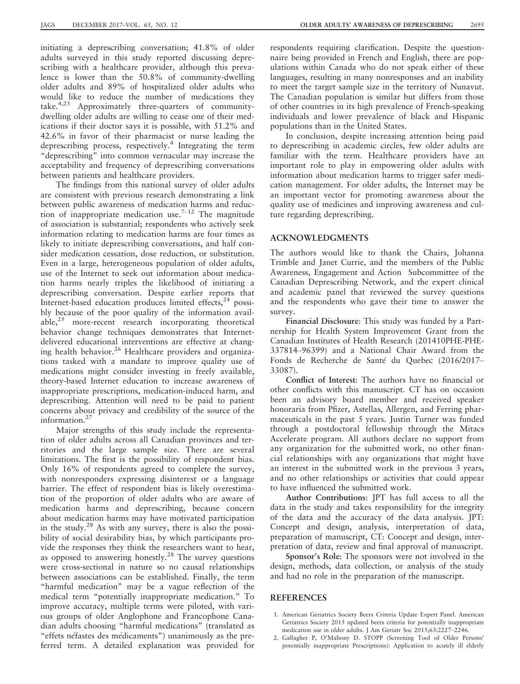initiating a deprescribing conversation; 41.8% of older adults surveyed in this study reported discussing deprescribing with a healthcare provider, although this prevalence is lower than the 50.8% of community-dwelling older adults and 89% of hospitalized older adults who would like to reduce the number of medications they take.4,23 Approximately three-quarters of communitydwelling older adults are willing to cease one of their medications if their doctor says it is possible, with 51.2% and 42.6% in favor of their pharmacist or nurse leading the deprescribing process, respectively.4 Integrating the term "deprescribing" into common vernacular may increase the acceptability and frequency of deprescribing conversations between patients and healthcare providers.

The findings from this national survey of older adults are consistent with previous research demonstrating a link between public awareness of medication harms and reduction of inappropriate medication use.<sup>7–12</sup> The magnitude of association is substantial; respondents who actively seek information relating to medication harms are four times as likely to initiate deprescribing conversations, and half consider medication cessation, dose reduction, or substitution. Even in a large, heterogeneous population of older adults, use of the Internet to seek out information about medication harms nearly triples the likelihood of initiating a deprescribing conversation. Despite earlier reports that Internet-based education produces limited effects,<sup>24</sup> possibly because of the poor quality of the information available,25 more-recent research incorporating theoretical behavior change techniques demonstrates that Internetdelivered educational interventions are effective at changing health behavior.<sup>26</sup> Healthcare providers and organizations tasked with a mandate to improve quality use of medications might consider investing in freely available, theory-based Internet education to increase awareness of inappropriate prescriptions, medication-induced harm, and deprescribing. Attention will need to be paid to patient concerns about privacy and credibility of the source of the information.<sup>27</sup>

Major strengths of this study include the representation of older adults across all Canadian provinces and territories and the large sample size. There are several limitations. The first is the possibility of respondent bias. Only 16% of respondents agreed to complete the survey, with nonresponders expressing disinterest or a language barrier. The effect of respondent bias is likely overestimation of the proportion of older adults who are aware of medication harms and deprescribing, because concern about medication harms may have motivated participation in the study. $28$  As with any survey, there is also the possibility of social desirability bias, by which participants provide the responses they think the researchers want to hear, as opposed to answering honestly.28 The survey questions were cross-sectional in nature so no causal relationships between associations can be established. Finally, the term "harmful medication" may be a vague reflection of the medical term "potentially inappropriate medication." To improve accuracy, multiple terms were piloted, with various groups of older Anglophone and Francophone Canadian adults choosing "harmful medications" (translated as "effets néfastes des médicaments") unanimously as the preferred term. A detailed explanation was provided for

respondents requiring clarification. Despite the questionnaire being provided in French and English, there are populations within Canada who do not speak either of these languages, resulting in many nonresponses and an inability to meet the target sample size in the territory of Nunavut. The Canadian population is similar but differs from those of other countries in its high prevalence of French-speaking individuals and lower prevalence of black and Hispanic populations than in the United States.

In conclusion, despite increasing attention being paid to deprescribing in academic circles, few older adults are familiar with the term. Healthcare providers have an important role to play in empowering older adults with information about medication harms to trigger safer medication management. For older adults, the Internet may be an important vector for promoting awareness about the quality use of medicines and improving awareness and culture regarding deprescribing.

## ACKNOWLEDGMENTS

The authors would like to thank the Chairs, Johanna Trimble and Janet Currie, and the members of the Public Awareness, Engagement and Action Subcommittee of the Canadian Deprescribing Network, and the expert clinical and academic panel that reviewed the survey questions and the respondents who gave their time to answer the survey.

Financial Disclosure: This study was funded by a Partnership for Health System Improvement Grant from the Canadian Institutes of Health Research (201410PHE-PHE-337814–96399) and a National Chair Award from the Fonds de Recherche de Santé du Quebec (2016/2017– 33087).

Conflict of Interest: The authors have no financial or other conflicts with this manuscript. CT has on occasion been an advisory board member and received speaker honoraria from Pfizer, Astellas, Allergen, and Ferring pharmaceuticals in the past 5 years. Justin Turner was funded through a postdoctoral fellowship through the Mitacs Accelerate program. All authors declare no support from any organization for the submitted work, no other financial relationships with any organizations that might have an interest in the submitted work in the previous 3 years, and no other relationships or activities that could appear to have influenced the submitted work.

Author Contributions: JPT has full access to all the data in the study and takes responsibility for the integrity of the data and the accuracy of the data analysis. JPT: Concept and design, analysis, interpretation of data, preparation of manuscript, CT: Concept and design, interpretation of data, review and final approval of manuscript.

Sponsor's Role: The sponsors were not involved in the design, methods, data collection, or analysis of the study and had no role in the preparation of the manuscript.

#### REFERENCES

- 1. American Geriatrics Society Beers Criteria Update Expert Panel. American Geriatrics Society 2015 updated beers criteria for potentially inappropriate medication use in older adults. J Am Geriatr Soc 2015;63:2227–2246.
- 2. Gallagher P, O'Mahony D. STOPP (Screening Tool of Older Persons' potentially inappropriate Prescriptions): Application to acutely ill elderly